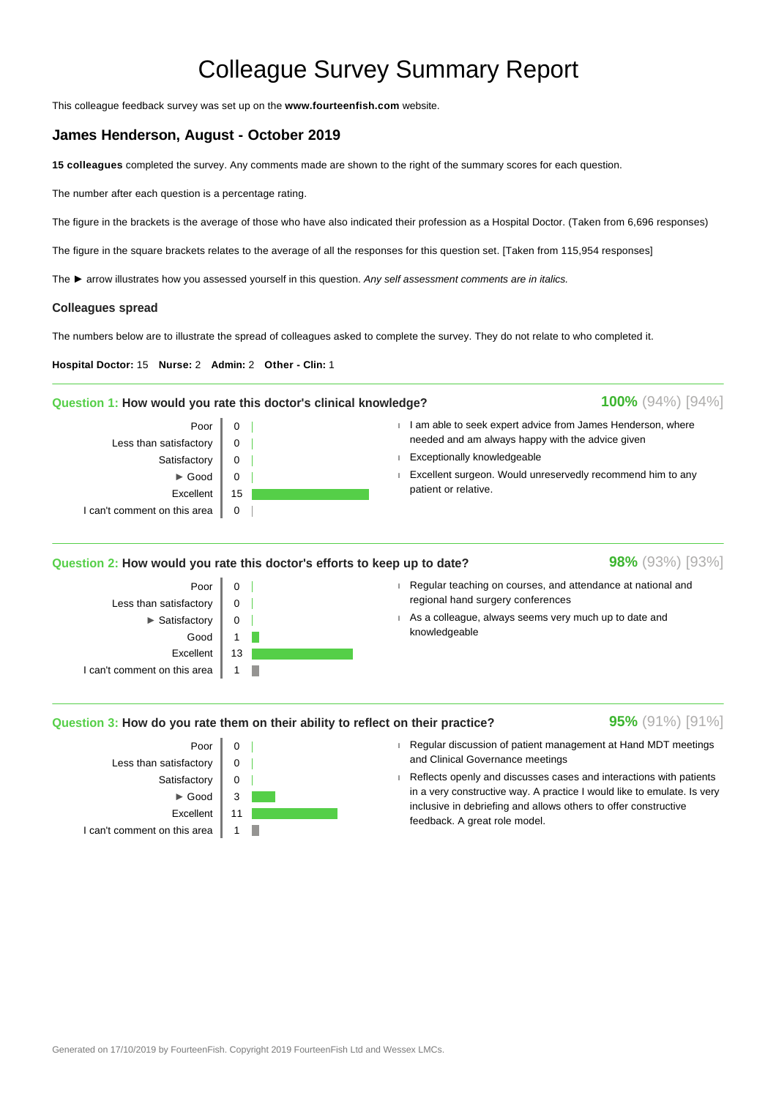# Colleague Survey Summary Report

This colleague feedback survey was set up on the **www.fourteenfish.com** website.

## **James Henderson, August - October 2019**

**15 colleagues** completed the survey. Any comments made are shown to the right of the summary scores for each question.

The number after each question is a percentage rating.

The figure in the brackets is the average of those who have also indicated their profession as a Hospital Doctor. (Taken from 6,696 responses)

The figure in the square brackets relates to the average of all the responses for this question set. [Taken from 115,954 responses]

The ► arrow illustrates how you assessed yourself in this question. Any self assessment comments are in italics.

### **Colleagues spread**

The numbers below are to illustrate the spread of colleagues asked to complete the survey. They do not relate to who completed it.

**Hospital Doctor:** 15 **Nurse:** 2 **Admin:** 2 **Other - Clin:** 1

#### **Question 1: How would you rate this doctor's clinical knowledge?**



## **Question 2: How would you rate this doctor's efforts to keep up to date?**



- Regular teaching on courses, and attendance at national and regional hand surgery conferences
- As a colleague, always seems very much up to date and knowledgeable

## **Question 3: How do you rate them on their ability to reflect on their practice?**



## Regular discussion of patient management at Hand MDT meetings and Clinical Governance meetings

 Reflects openly and discusses cases and interactions with patients in a very constructive way. A practice I would like to emulate. Is very inclusive in debriefing and allows others to offer constructive feedback. A great role model.

**98%** (93%) [93%]

**95%** (91%) [91%]

**100%** (94%) [94%]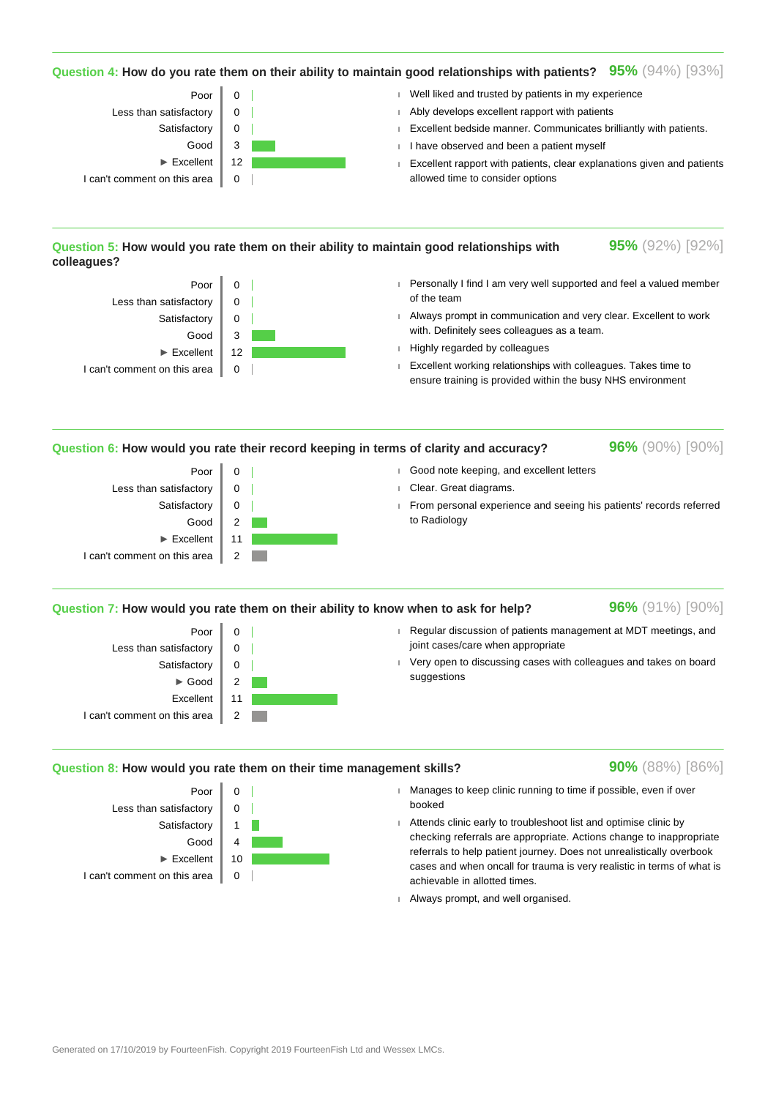## **Question 4: How do you rate them on their ability to maintain good relationships with patients? 95%** (94%) [93%]



## **Question 5: How would you rate them on their ability to maintain good relationships with colleagues?**



- Personally I find I am very well supported and feel a valued member of the team
- Always prompt in communication and very clear. Excellent to work with. Definitely sees colleagues as a team.
- **Highly regarded by colleagues**
- Excellent working relationships with colleagues. Takes time to ensure training is provided within the busy NHS environment

**Question 6: How would you rate their record keeping in terms of clarity and accuracy?**

**96%** (90%) [90%]

**95%** (92%) [92%]



#### **Question 7: How would you rate them on their ability to know when to ask for help?**

Poor  $\parallel$  0 Less than satisfactory  $\begin{bmatrix} 0 \\ 0 \end{bmatrix}$ Satisfactory  $\|$  0  $\blacktriangleright$  Good 2 Excellent 11 I can't comment on this area  $\parallel$  2 **96%** (91%) [90%]

**90%** (88%) [86%]

- Regular discussion of patients management at MDT meetings, and joint cases/care when appropriate
- Very open to discussing cases with colleagues and takes on board suggestions

#### **Question 8: How would you rate them on their time management skills?**





- Manages to keep clinic running to time if possible, even if over booked
- Attends clinic early to troubleshoot list and optimise clinic by checking referrals are appropriate. Actions change to inappropriate referrals to help patient journey. Does not unrealistically overbook cases and when oncall for trauma is very realistic in terms of what is achievable in allotted times.
- Always prompt, and well organised.